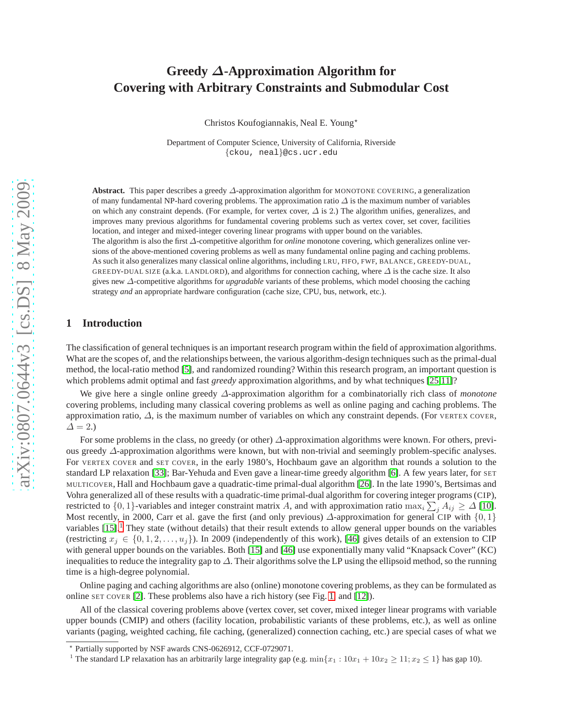# **Greedy** ∆**-Approximation Algorithm for Covering with Arbitrary Constraints and Submodular Cost**

Christos Koufogiannakis, Neal E. Young<sup>\*</sup>

Department of Computer Science, University of California, Riverside {ckou, neal}@cs.ucr.edu

**Abstract.** This paper describes a greedy ∆-approximation algorithm for MONOTONE COVERING, a generalization of many fundamental NP-hard covering problems. The approximation ratio  $\Delta$  is the maximum number of variables on which any constraint depends. (For example, for vertex cover,  $\Delta$  is 2.) The algorithm unifies, generalizes, and improves many previous algorithms for fundamental covering problems such as vertex cover, set cover, facilities location, and integer and mixed-integer covering linear programs with upper bound on the variables. The algorithm is also the first ∆-competitive algorithm for *online* monotone covering, which generalizes online versions of the above-mentioned covering problems as well as many fundamental online paging and caching problems. As such it also generalizes many classical online algorithms, including LRU, FIFO, FWF, BALANCE, GREEDY-DUAL, GREEDY-DUAL SIZE (a.k.a. LANDLORD), and algorithms for connection caching, where  $\Delta$  is the cache size. It also gives new ∆-competitive algorithms for *upgradable* variants of these problems, which model choosing the caching strategy *and* an appropriate hardware configuration (cache size, CPU, bus, network, etc.).

# **1 Introduction**

The classification of general techniques is an important research program within the field of approximation algorithms. What are the scopes of, and the relationships between, the various algorithm-design techniques such as the primal-dual method, the local-ratio method [\[5\]](#page-10-0), and randomized rounding? Within this research program, an important question is which problems admit optimal and fast *greedy* approximation algorithms, and by what techniques [\[25,](#page-11-0)[11\]](#page-10-1)?

We give here a single online greedy ∆-approximation algorithm for a combinatorially rich class of *monotone* covering problems, including many classical covering problems as well as online paging and caching problems. The approximation ratio, ∆, is the maximum number of variables on which any constraint depends. (For VERTEX COVER,  $\Delta = 2.$ 

For some problems in the class, no greedy (or other) ∆-approximation algorithms were known. For others, previous greedy ∆-approximation algorithms were known, but with non-trivial and seemingly problem-specific analyses. For VERTEX COVER and SET COVER, in the early 1980's, Hochbaum gave an algorithm that rounds a solution to the standard LP relaxation [\[33\]](#page-11-1); Bar-Yehuda and Even gave a linear-time greedy algorithm [\[6\]](#page-10-2). A few years later, for SET MULTICOVER, Hall and Hochbaum gave a quadratic-time primal-dual algorithm [\[26\]](#page-11-2). In the late 1990's, Bertsimas and Vohra generalized all of these results with a quadratic-time primal-dual algorithm for covering integer programs (CIP), restricted to  $\{0, 1\}$ -variables and integer constraint matrix A, and with approximation ratio max<sub>i</sub>  $\sum_j A_{ij} \ge \Delta$  [\[10\]](#page-10-3). Most recently, in 2000, Carr et al. gave the first (and only previous)  $\Delta$ -approximation for general CIP with  $\{0, 1\}$ variables [\[15\]](#page-10-4).<sup>[1](#page-0-0)</sup> They state (without details) that their result extends to allow general upper bounds on the variables (restricting  $x_j \in \{0, 1, 2, \ldots, u_j\}$ ). In 2009 (independently of this work), [\[46\]](#page-11-3) gives details of an extension to CIP with general upper bounds on the variables. Both [\[15\]](#page-10-4) and [\[46\]](#page-11-3) use exponentially many valid "Knapsack Cover" (KC) inequalities to reduce the integrality gap to ∆. Their algorithms solve the LP using the ellipsoid method, so the running time is a high-degree polynomial.

Online paging and caching algorithms are also (online) monotone covering problems, as they can be formulated as online SET COVER [\[2\]](#page-10-5). These problems also have a rich history (see Fig. [1,](#page-1-0) and [\[12\]](#page-10-6)).

All of the classical covering problems above (vertex cover, set cover, mixed integer linear programs with variable upper bounds (CMIP) and others (facility location, probabilistic variants of these problems, etc.), as well as online variants (paging, weighted caching, file caching, (generalized) connection caching, etc.) are special cases of what we

<sup>⋆</sup> Partially supported by NSF awards CNS-0626912, CCF-0729071.

<span id="page-0-0"></span><sup>&</sup>lt;sup>1</sup> The standard LP relaxation has an arbitrarily large integrality gap (e.g.  $\min\{x_1 : 10x_1 + 10x_2 \ge 11; x_2 \le 1\}$  has gap 10).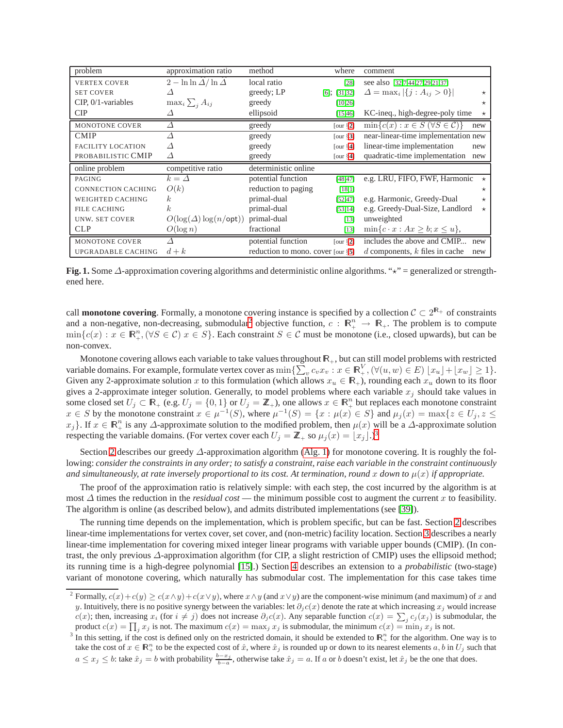| problem                   | approximation ratio                                   | method               | where             | comment                                             |
|---------------------------|-------------------------------------------------------|----------------------|-------------------|-----------------------------------------------------|
| <b>VERTEX COVER</b>       | $2 - \ln \ln \widehat{\Delta} / \ln \widehat{\Delta}$ | local ratio          | $[28]$            | see also [32,7,44,27,29,21,37]                      |
| <b>SET COVER</b>          | Δ                                                     | greedy; LP           | $[6]$ ; $[31,32]$ | $\Delta = \max_i  \{j : A_{ij} > 0\} $<br>$\star$   |
| $CIP$ , $0/1$ -variables  | $\max_i \sum_i A_{ij}$                                | greedy               | [10, 26]          | $\star$                                             |
| CIP                       |                                                       | ellipsoid            | [15, 46]          | KC-ineq., high-degree-poly time<br>$\star$          |
| MONOTONE COVER            |                                                       | greedy               | [our $\S2$ ]      | $\min\{c(x): x \in S \ (\forall S \in C)\}\$<br>new |
| <b>CMIP</b>               |                                                       | greedy               | [our $\S3$ ]      | near-linear-time implementation new                 |
| <b>FACILITY LOCATION</b>  | Δ                                                     | greedy               | [our $\S$ 4]      | linear-time implementation<br>new                   |
| PROBABILISTIC CMIP        | Δ                                                     | greedy               | [our $\S$ 4]      | quadratic-time implementation<br>new                |
|                           |                                                       |                      |                   |                                                     |
| online problem            | competitive ratio                                     | deterministic online |                   |                                                     |
| PAGING                    | $k = \Delta$                                          | potential function   | [48, 47]          | e.g. LRU, FIFO, FWF, Harmonic<br>$\star$            |
| <b>CONNECTION CACHING</b> | O(k)                                                  | reduction to paging  | [18,1]            | $\star$                                             |
| <b>WEIGHTED CACHING</b>   | k.                                                    | primal-dual          | [52, 47]          | e.g. Harmonic, Greedy-Dual<br>$\star$               |
| <b>FILE CACHING</b>       | $\boldsymbol{k}$                                      | primal-dual          | [53, 14]          | e.g. Greedy-Dual-Size, Landlord<br>$\star$          |
| <b>UNW. SET COVER</b>     | $O(\log(\Delta)\log(n/\textsf{opt}))$                 | primal-dual          | [13]              | unweighted                                          |
| <b>CLP</b>                | $O(\log n)$                                           | fractional           | $[13]$            | $\min\{c \cdot x : Ax \geq b; x \leq u\},\$         |
| MONOTONE COVER            |                                                       | potential function   | [our $\S2$ ]      | includes the above and CMIP<br>new                  |

<span id="page-1-0"></span>**Fig. 1.** Some ∆-approximation covering algorithms and deterministic online algorithms. "<sup>★"</sup> = generalized or strengthened here.

call **monotone covering**. Formally, a monotone covering instance is specified by a collection  $C \subset 2^{\mathbb{R}_+}$  of constraints and a non-negative, non-decreasing, submodular<sup>[2](#page-1-1)</sup> objective function,  $c : \mathbb{R}^n_+ \to \mathbb{R}_+$ . The problem is to compute  $\min\{c(x): x \in \mathbb{R}_+^n, (\forall S \in \mathcal{C}) | x \in S\}$ . Each constraint  $S \in \mathcal{C}$  must be monotone (i.e., closed upwards), but can be non-convex.

Monotone covering allows each variable to take values throughout  $\mathbb{R}_+$ , but can still model problems with restricted variable domains. For example, formulate vertex cover as  $\min \{ \sum_{v} c_v x_v : x \in \mathbb{R}^V_+ , (\forall (u, w) \in E) \mid x_u \mid + \lfloor x_w \rfloor \geq 1 \}.$ Given any 2-approximate solution x to this formulation (which allows  $x_u \in \mathbb{R}_+$ ), rounding each  $x_u$  down to its floor gives a 2-approximate integer solution. Generally, to model problems where each variable  $x_i$  should take values in some closed set  $U_j \subset \mathbb{R}_+$  (e.g.  $U_j = \{0,1\}$  or  $U_j = \mathbb{Z}_+$ ), one allows  $x \in \mathbb{R}_+^n$  but replaces each monotone constraint  $x \in S$  by the monotone constraint  $x \in \mu^{-1}(S)$ , where  $\mu^{-1}(S) = \{x : \mu(x) \in S\}$  and  $\mu_j(x) = \max\{z \in U_j, z \leq 1\}$  $x_j$ . If  $x \in \mathbb{R}^n_+$  is any  $\Delta$ -approximate solution to the modified problem, then  $\mu(x)$  will be a  $\Delta$ -approximate solution respecting the variable domains. (For vertex cover each  $U_j = \mathbb{Z}_+$  so  $\mu_j(x) = \lfloor x_j \rfloor$ .)<sup>[3](#page-1-2)</sup>

Section [2](#page-3-0) describes our greedy  $\Delta$ -approximation algorithm [\(Alg. 1\)](#page-3-1) for monotone covering. It is roughly the following: *consider the constraints in any order; to satisfy a constraint, raise each variable in the constraint continuously* and simultaneously, at rate inversely proportional to its cost. At termination, round x down to  $\mu(x)$  if appropriate.

The proof of the approximation ratio is relatively simple: with each step, the cost incurred by the algorithm is at most  $\Delta$  times the reduction in the *residual cost* — the minimum possible cost to augment the current x to feasibility. The algorithm is online (as described below), and admits distributed implementations (see [\[39\]](#page-11-16)).

The running time depends on the implementation, which is problem specific, but can be fast. Section [2](#page-3-0) describes linear-time implementations for vertex cover, set cover, and (non-metric) facility location. Section [3](#page-4-0) describes a nearly linear-time implementation for covering mixed integer linear programs with variable upper bounds (CMIP). (In contrast, the only previous ∆-approximation algorithm (for CIP, a slight restriction of CMIP) uses the ellipsoid method; its running time is a high-degree polynomial [\[15\]](#page-10-4).) Section [4](#page-5-0) describes an extension to a *probabilistic* (two-stage) variant of monotone covering, which naturally has submodular cost. The implementation for this case takes time

<span id="page-1-1"></span><sup>&</sup>lt;sup>2</sup> Formally,  $c(x)+c(y) \ge c(x \wedge y)+c(x \vee y)$ , where  $x \wedge y$  (and  $x \vee y$ ) are the component-wise minimum (and maximum) of x and y. Intuitively, there is no positive synergy between the variables: let  $\partial_i c(x)$  denote the rate at which increasing  $x_j$  would increase  $c(x)$ ; then, increasing  $x_i$  (for  $i \neq j$ ) does not increase  $\partial_j c(x)$ . Any separable function  $c(x) = \sum_j c_j(x_j)$  is submodular, the product  $c(x) = \prod_j x_j$  is not. The maximum  $c(x) = \max_j x_j$  is submodular, the minimum  $c(x) = \min_j x_j$  is not.

<span id="page-1-2"></span><sup>&</sup>lt;sup>3</sup> In this setting, if the cost is defined only on the restricted domain, it should be extended to  $\mathbb{R}^n_+$  for the algorithm. One way is to take the cost of  $x \in \mathbb{R}^n_+$  to be the expected cost of  $\hat{x}$ , where  $\hat{x}_j$  is rounded up or down to its nearest elements  $a, b$  in  $U_j$  such that  $a \le x_j \le b$ : take  $\hat{x}_j = b$  with probability  $\frac{b-x_j}{b-a}$ , otherwise take  $\hat{x}_j = a$ . If a or b doesn't exist, let  $\hat{x}_j$  be the one that does.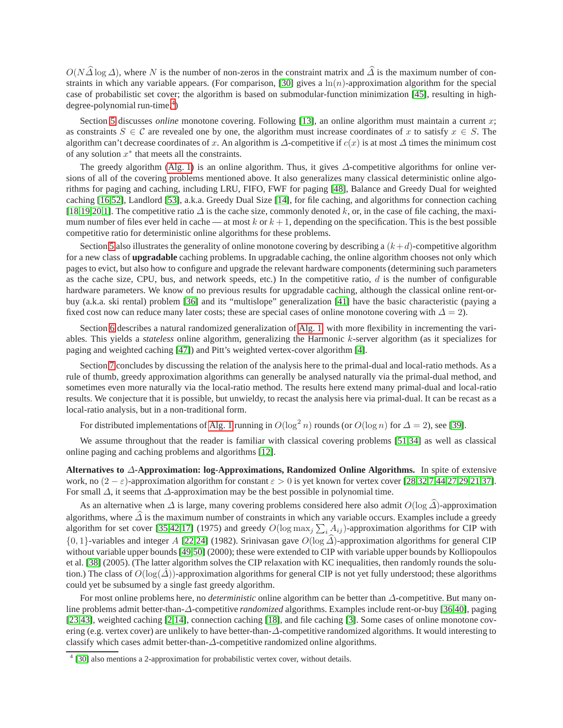$O(N\hat{\Delta}\log\Delta)$ , where N is the number of non-zeros in the constraint matrix and  $\hat{\Delta}$  is the maximum number of con-straints in which any variable appears. (For comparison, [\[30\]](#page-11-17) gives a  $\ln(n)$ -approximation algorithm for the special case of probabilistic set cover; the algorithm is based on submodular-function minimization [\[45\]](#page-11-18), resulting in high-degree-polynomial run-time.<sup>[4](#page-2-0)</sup>)

Section [5](#page-6-0) discusses *online* monotone covering. Following [\[13\]](#page-10-11), an online algorithm must maintain a current x; as constraints  $S \in \mathcal{C}$  are revealed one by one, the algorithm must increase coordinates of x to satisfy  $x \in S$ . The algorithm can't decrease coordinates of x. An algorithm is  $\Delta$ -competitive if  $c(x)$  is at most  $\Delta$  times the minimum cost of any solution  $x^*$  that meets all the constraints.

The greedy algorithm [\(Alg. 1\)](#page-3-1) is an online algorithm. Thus, it gives ∆-competitive algorithms for online versions of all of the covering problems mentioned above. It also generalizes many classical deterministic online algorithms for paging and caching, including LRU, FIFO, FWF for paging [\[48\]](#page-11-12), Balance and Greedy Dual for weighted caching [\[16](#page-10-12)[,52\]](#page-11-14), Landlord [\[53\]](#page-11-15), a.k.a. Greedy Dual Size [\[14\]](#page-10-10), for file caching, and algorithms for connection caching [\[18](#page-10-8)[,19,](#page-11-19)[20,](#page-11-20)[1\]](#page-10-9). The competitive ratio  $\Delta$  is the cache size, commonly denoted k, or, in the case of file caching, the maximum number of files ever held in cache — at most k or  $k + 1$ , depending on the specification. This is the best possible competitive ratio for deterministic online algorithms for these problems.

Section [5](#page-6-0) also illustrates the generality of online monotone covering by describing a  $(k+d)$ -competitive algorithm for a new class of **upgradable** caching problems. In upgradable caching, the online algorithm chooses not only which pages to evict, but also how to configure and upgrade the relevant hardware components (determining such parameters as the cache size, CPU, bus, and network speeds, etc.) In the competitive ratio,  $d$  is the number of configurable hardware parameters. We know of no previous results for upgradable caching, although the classical online rent-orbuy (a.k.a. ski rental) problem [\[36\]](#page-11-21) and its "multislope" generalization [\[41\]](#page-11-22) have the basic characteristic (paying a fixed cost now can reduce many later costs; these are special cases of online monotone covering with  $\Delta = 2$ ).

Section [6](#page-8-0) describes a natural randomized generalization of [Alg. 1,](#page-3-1) with more flexibility in incrementing the variables. This yields a *stateless* online algorithm, generalizing the Harmonic k-server algorithm (as it specializes for paging and weighted caching [\[47\]](#page-11-13)) and Pitt's weighted vertex-cover algorithm [\[4\]](#page-10-13).

Section [7](#page-9-0) concludes by discussing the relation of the analysis here to the primal-dual and local-ratio methods. As a rule of thumb, greedy approximation algorithms can generally be analysed naturally via the primal-dual method, and sometimes even more naturally via the local-ratio method. The results here extend many primal-dual and local-ratio results. We conjecture that it is possible, but unwieldy, to recast the analysis here via primal-dual. It can be recast as a local-ratio analysis, but in a non-traditional form.

For distributed implementations of [Alg. 1](#page-3-1) running in  $O(\log^2 n)$  rounds (or  $O(\log n)$  for  $\Delta = 2$ ), see [\[39\]](#page-11-16).

We assume throughout that the reader is familiar with classical covering problems [\[51](#page-11-23)[,34\]](#page-11-24) as well as classical online paging and caching problems and algorithms [\[12\]](#page-10-6).

**Alternatives to** ∆**-Approximation: log-Approximations, Randomized Online Algorithms.** In spite of extensive work, no  $(2 - \varepsilon)$ -approximation algorithm for constant  $\varepsilon > 0$  is yet known for vertex cover [\[28,](#page-11-4)[32](#page-11-5)[,7](#page-10-7)[,44](#page-11-6)[,27](#page-11-7)[,29,](#page-11-8)[21](#page-11-9)[,37\]](#page-11-10). For small  $\Delta$ , it seems that  $\Delta$ -approximation may be the best possible in polynomial time.

As an alternative when  $\Delta$  is large, many covering problems considered here also admit  $O(\log \widehat{\Delta})$ -approximation algorithms, where  $\Delta$  is the maximum number of constraints in which any variable occurs. Examples include a greedy algorithm for set cover [\[35,](#page-11-25)[42](#page-11-26)[,17\]](#page-10-14) (1975) and greedy  $O(\log \max_j \sum_i A_{ij})$ -approximation algorithms for CIP with  ${0, 1}$ -variables and integer A [\[22](#page-11-27)[,24\]](#page-11-28) (1982). Srinivasan gave  $O(\log \widehat{\Delta})$ -approximation algorithms for general CIP without variable upper bounds [\[49,](#page-11-29)[50\]](#page-11-30) (2000); these were extended to CIP with variable upper bounds by Kolliopoulos et al. [\[38\]](#page-11-31) (2005). (The latter algorithm solves the CIP relaxation with KC inequalities, then randomly rounds the solution.) The class of  $O(\log(\Delta))$ -approximation algorithms for general CIP is not yet fully understood; these algorithms could yet be subsumed by a single fast greedy algorithm.

For most online problems here, no *deterministic* online algorithm can be better than ∆-competitive. But many online problems admit better-than-∆-competitive *randomized* algorithms. Examples include rent-or-buy [\[36,](#page-11-21)[40\]](#page-11-32), paging [\[23](#page-11-33)[,43\]](#page-11-34), weighted caching [\[2,](#page-10-5)[14\]](#page-10-10), connection caching [\[18\]](#page-10-8), and file caching [\[3\]](#page-10-15). Some cases of online monotone covering (e.g. vertex cover) are unlikely to have better-than-∆-competitive randomized algorithms. It would interesting to classify which cases admit better-than-∆-competitive randomized online algorithms.

<span id="page-2-0"></span><sup>&</sup>lt;sup>4</sup> [\[30\]](#page-11-17) also mentions a 2-approximation for probabilistic vertex cover, without details.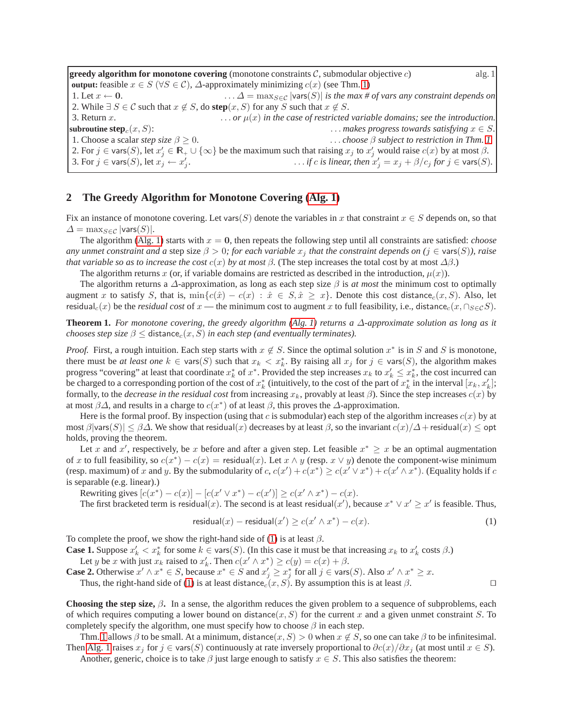<span id="page-3-1"></span>**greedy algorithm for monotone covering** (monotone constraints C, submodular objective c) alg. 1 **output:** feasible  $x \in S$  ( $\forall S \in C$ ),  $\Delta$ -approximately minimizing  $c(x)$  (see Thm. [1\)](#page-3-2) 1. Let  $x \leftarrow 0$ .  $\Delta = \max_{S \in \mathcal{C}} |\text{vars}(S)|$  *is the max # of vars any constraint depends on* 2. While  $\exists S \in \mathcal{C}$  such that  $x \notin S$ , do **step** $(x, S)$  for any S such that  $x \notin S$ . 3. Return x.  $\cdots$   $\cdots$   $\cdots$   $\mu(x)$  in the case of restricted variable domains; see the introduction. **subroutine step**<sub>c</sub> $(x, S)$ : . . . . *makes progress towards satisfying*  $x \in S$ . 1. Choose a scalar *step size*  $\beta \ge 0$ . . . . *choose*  $\beta$  *subject to restriction in Thm.* [1.](#page-3-2) 2. For  $j \in \text{vars}(S)$ , let  $x'_j \in \mathbb{R}_+ \cup \{\infty\}$  be the maximum such that raising  $x_j$  to  $x'_j$  would raise  $c(x)$  by at most  $\beta$ . 3. For  $j\in\mathsf{vars}(S),$  let  $x^j_j\leftarrow x'_j$  $\ldots$  *if* c *is linear, then*  $x'_j = x_j + \beta/c_j$  *for*  $j \in \text{vars}(S)$ *.* 

# <span id="page-3-0"></span>**2 The Greedy Algorithm for Monotone Covering [\(Alg. 1\)](#page-3-1)**

Fix an instance of monotone covering. Let vars(S) denote the variables in x that constraint  $x \in S$  depends on, so that  $\Delta = \max_{S \in \mathcal{C}} |\text{vars}(S)|.$ 

The algorithm [\(Alg. 1\)](#page-3-1) starts with  $x = 0$ , then repeats the following step until all constraints are satisfied: *choose any unmet constraint and a* step size  $\beta > 0$ ; for each variable  $x_j$  that the constraint depends on ( $j \in \text{vars}(S)$ ), raise *that variable so as to increase the cost*  $c(x)$  *by at most*  $\beta$ . (The step increases the total cost by at most  $\Delta\beta$ .)

The algorithm returns x (or, if variable domains are restricted as described in the introduction,  $\mu(x)$ ).

The algorithm returns a  $\Delta$ -approximation, as long as each step size  $\beta$  is *at most* the minimum cost to optimally augment x to satisfy S, that is,  $\min\{c(\hat{x}) - c(x) : \hat{x} \in S, \hat{x} \geq x\}$ . Denote this cost distance<sub>c</sub> $(x, S)$ . Also, let residual<sub>c</sub>(x) be the *residual cost* of x — the minimum cost to augment x to full feasibility, i.e., distance<sub>c</sub>(x, ∩<sub>S∈C</sub>S).

<span id="page-3-2"></span>**Theorem 1.** *For monotone covering, the greedy algorithm (Alg. 1) returns a*  $\Delta$ *-approximate solution as long as it chooses step size*  $\beta \leq$  distance<sub>c</sub> $(x, S)$  *in each step (and eventually terminates).* 

*Proof.* First, a rough intuition. Each step starts with  $x \notin S$ . Since the optimal solution  $x^*$  is in S and S is monotone, there must be *at least one*  $k \in \text{vars}(S)$  such that  $x_k < x_k^*$ . By raising all  $x_j$  for  $j \in \text{vars}(S)$ , the algorithm makes progress "covering" at least that coordinate  $x_k^*$  of  $x^*$ . Provided the step increases  $x_k$  to  $x'_k \leq x_k^*$ , the cost incurred can be charged to a corresponding portion of the cost of  $x_k^*$  (intuitively, to the cost of the part of  $x_k^*$  in the interval  $[x_k, x'_k]$ ; formally, to the *decrease in the residual cost* from increasing  $x_k$ , provably at least  $\beta$ ). Since the step increases  $c(x)$  by at most  $\beta\Delta$ , and results in a charge to  $c(x^*)$  of at least  $\beta$ , this proves the  $\Delta$ -approximation.

Here is the formal proof. By inspection (using that c is submodular) each step of the algorithm increases  $c(x)$  by at most  $\beta$ |vars $(S)| \leq \beta \Delta$ . We show that residual $(x)$  decreases by at least  $\beta$ , so the invariant  $c(x)/\Delta$ +residual $(x) \leq$  opt holds, proving the theorem.

Let x and x', respectively, be x before and after a given step. Let feasible  $x^* \geq x$  be an optimal augmentation of x to full feasibility, so  $c(x^*) - c(x) =$  residual(x). Let  $x \wedge y$  (resp.  $x \vee y$ ) denote the component-wise minimum (resp. maximum) of x and y. By the submodularity of  $c, c(x') + c(x^*) \ge c(x' \vee x^*) + c(x' \wedge x^*)$ . (Equality holds if c is separable (e.g. linear).)

Rewriting gives  $[c(x^*) - c(x)] - [c(x' \vee x^*) - c(x')] \ge c(x' \wedge x^*) - c(x)$ .

The first bracketed term is residual(x). The second is at least residual(x'), because  $x^* \vee x' \geq x'$  is feasible. Thus,

<span id="page-3-3"></span>
$$
\mathsf{residual}(x) - \mathsf{residual}(x') \ge c(x' \land x^*) - c(x). \tag{1}
$$

To complete the proof, we show the right-hand side of [\(1\)](#page-3-3) is at least  $\beta$ .

**Case 1.** Suppose  $x'_k < x^*_k$  for some  $k \in \text{vars}(S)$ . (In this case it must be that increasing  $x_k$  to  $x'_k$  costs  $\beta$ .)

Let y be x with just  $x_k$  raised to  $x'_k$ . Then  $c(x' \wedge x^*) \ge c(y) = c(x) + \beta$ .

**Case 2.** Otherwise  $x' \wedge x^* \in S$ , because  $x^* \in S$  and  $x'_j \ge x^*_j$  for all  $j \in \text{vars}(S)$ . Also  $x' \wedge x^* \ge x$ .

Thus, the right-hand side of [\(1\)](#page-3-3) is at least distance<sub>c</sub>(x, S). By assumption this is at least  $\beta$ . □

**Choosing the step size,**  $\beta$ . In a sense, the algorithm reduces the given problem to a sequence of subproblems, each of which requires computing a lower bound on distance $(x, S)$  for the current x and a given unmet constraint S. To completely specify the algorithm, one must specify how to choose  $\beta$  in each step.

Thm. [1](#page-3-2) allows  $\beta$  to be small. At a minimum, distance(x, S) > 0 when  $x \notin S$ , so one can take  $\beta$  to be infinitesimal. Then [Alg. 1](#page-3-1) raises  $x_j$  for  $j \in \text{vars}(S)$  continuously at rate inversely proportional to  $\partial c(x)/\partial x_j$  (at most until  $x \in S$ ). Another, generic, choice is to take  $\beta$  just large enough to satisfy  $x \in S$ . This also satisfies the theorem:

<span id="page-3-4"></span>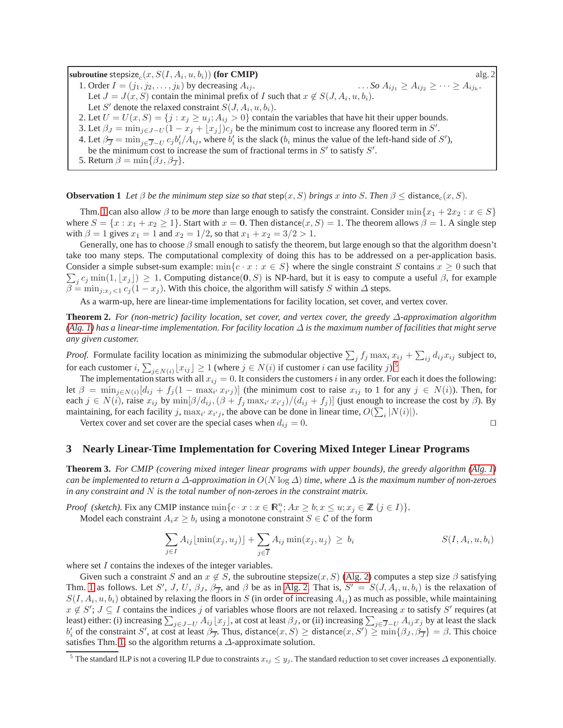<span id="page-4-2"></span>**subroutine** stepsize<sub>c</sub> $(x, S(I, A_i, u, b_i))$  **(for CMIP)** alg. 2 1. Order  $I = (j_1, j_2, \dots, j_k)$  by decreasing  $A_{ij}$ .  $\ldots$  *So*  $A_{ij_1} \geq A_{ij_2} \geq \cdots \geq A_{ij_k}$ . Let  $J = J(x, S)$  contain the minimal prefix of I such that  $x \notin S(J, A_i, u, b_i)$ . Let S' denote the relaxed constraint  $S(J, A_i, u, b_i)$ . 2. Let  $U = U(x, S) = \{j : x_j \ge u_j; A_{ij} > 0\}$  contain the variables that have hit their upper bounds. 3. Let  $\beta_J = \min_{j \in J - U} (1 - x_j + \lfloor x_j \rfloor) c_j$  be the minimum cost to increase any floored term in S'. 4. Let  $\beta_{\overline{J}} = \min_{j \in \overline{J} - U} c_j b'_i / A_{ij}$ , where  $b'_i$  is the slack  $(b_i \text{ minus the value of the left-hand side of } S')$ , be the minimum cost to increase the sum of fractional terms in  $S'$  to satisfy  $S'$ . 5. Return  $\beta = \min\{\beta_J, \beta_{\overline{J}}\}.$ 

**Observation 1** *Let*  $\beta$  *be the minimum step size so that* step(x, S) *brings* x *into* S. Then  $\beta \leq$  distance<sub>c</sub>(x, S).

Thm. [1](#page-3-2) can also allow  $\beta$  to be *more* than large enough to satisfy the constraint. Consider  $\min\{x_1 + 2x_2 : x \in S\}$ where  $S = \{x : x_1 + x_2 \ge 1\}$ . Start with  $x = 0$ . Then distance $(x, S) = 1$ . The theorem allows  $\beta = 1$ . A single step with  $\beta = 1$  gives  $x_1 = 1$  and  $x_2 = 1/2$ , so that  $x_1 + x_2 = 3/2 > 1$ .

Generally, one has to choose  $\beta$  small enough to satisfy the theorem, but large enough so that the algorithm doesn't take too many steps. The computational complexity of doing this has to be addressed on a per-application basis. Consider a simple subset-sum example:  $\min\{c \cdot x : x \in S\}$  where the single constraint S contains  $x \ge 0$  such that  $\sum_j c_j \min(1, \lfloor x_j \rfloor) \ge 1$ . Computing distance(0, S) is NP-hard, but it is easy to compute a useful  $\beta$ , for example  $\beta = \min_{j:x_j < 1} c_j (1 - x_j)$ . With this choice, the algorithm will satisfy S within  $\Delta$  steps.

As a warm-up, here are linear-time implementations for facility location, set cover, and vertex cover.

**Theorem 2.** *For (non-metric) facility location, set cover, and vertex cover, the greedy* ∆*-approximation algorithm [\(Alg. 1\)](#page-3-1) has a linear-time implementation. For facility location* ∆ *is the maximum number of facilities that might serve any given customer.*

*Proof.* Formulate facility location as minimizing the submodular objective  $\sum_j f_j \max_i x_{ij} + \sum_{ij} d_{ij}x_{ij}$  subject to, for each customer  $i, \sum_{j \in N(i)} \lfloor x_{ij} \rfloor \ge 1$  (where  $j \in N(i)$  if customer i can use facility j).<sup>[5](#page-4-1)</sup>

The implementation starts with all  $x_{ij} = 0$ . It considers the customers i in any order. For each it does the following: let  $\beta = \min_{j \in N(i)} [d_{ij} + f_j(1 - \max_{i'} x_{i'j})]$  (the minimum cost to raise  $x_{ij}$  to 1 for any  $j \in N(i)$ ). Then, for each  $j \in N(i)$ , raise  $x_{ij}$  by  $\min[\beta/d_{ij}, (\beta + f_j \max_{i'} x_{i'j})/(d_{ij} + f_j)]$  (just enough to increase the cost by  $\beta$ ). By maintaining, for each facility j,  $\max_{i'} x_{i'j}$ , the above can be done in linear time,  $O(\sum_i |N(i)|)$ .

Vertex cover and set cover are the special cases when  $d_{ij} = 0$ . □

<span id="page-4-0"></span>**3 Nearly Linear-Time Implementation for Covering Mixed Integer Linear Programs**

**Theorem 3.** *For CMIP (covering mixed integer linear programs with upper bounds), the greedy algorithm [\(Alg. 1\)](#page-3-1) can be implemented to return a* ∆*-approximation in* O(N log ∆) *time, where* ∆ *is the maximum number of non-zeroes in any constraint and* N *is the total number of non-zeroes in the constraint matrix.*

*Proof (sketch).* Fix any CMIP instance  $\min\{c \cdot x : x \in \mathbb{R}_+^n; Ax \geq b; x \leq u; x_j \in \mathbb{Z} \ (j \in I)\}.$ 

Model each constraint  $A_i x \ge b_i$  using a monotone constraint  $S \in \mathcal{C}$  of the form

$$
\sum_{j \in I} A_{ij} \lfloor \min(x_j, u_j) \rfloor + \sum_{j \in \overline{I}} A_{ij} \min(x_j, u_j) \ge b_i
$$
\n
$$
S(I, A_i, u, b_i)
$$

where set I contains the indexes of the integer variables.

Given such a constraint S and an  $x \notin S$ , the subroutine stepsize(x, S) [\(Alg. 2\)](#page-4-2) computes a step size  $\beta$  satisfying Thm. [1](#page-3-2) as follows. Let S', J, U,  $\beta_J$ ,  $\beta_{\overline{J}}$ , and  $\beta$  be as in [Alg. 2.](#page-4-2) That is,  $S' = S(J, A_i, u, b_i)$  is the relaxation of  $S(I, A_i, u, b_i)$  obtained by relaxing the floors in S (in order of increasing  $A_{ij}$ ) as much as possible, while maintaining  $x \notin S'$ ;  $J \subseteq I$  contains the indices j of variables whose floors are not relaxed. Increasing x to satisfy S' requires (at least) either: (i) increasing  $\sum_{j\in J-U} A_{ij} [x_j]$ , at cost at least  $\beta_J$ , or (ii) increasing  $\sum_{j\in J-U} A_{ij} x_j$  by at least the slack  $b'_i$  of the constraint S', at cost at least  $\beta_{\overline{J}}$ . Thus, distance $(x, S) \geq$  distance $(x, S') \geq \min\{\beta_J, \beta_{\overline{J}}\} = \beta$ . This choice satisfies Thm. [1,](#page-3-2) so the algorithm returns a  $\Delta$ -approximate solution.

<span id="page-4-1"></span><sup>&</sup>lt;sup>5</sup> The standard ILP is not a covering ILP due to constraints  $x_{ij} \leq y_i$ . The standard reduction to set cover increases  $\Delta$  exponentially.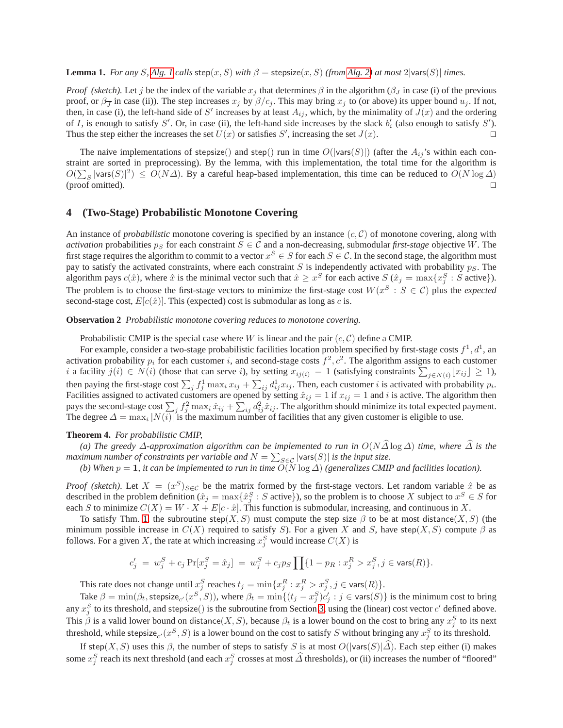**Lemma 1.** *For any S*, *Alg. 1 calls* step(x, *S*) *with*  $\beta$  = stepsize(x, *S*) *(from [Alg. 2\)](#page-4-2) at most* 2|vars(*S*)| *times.* 

*Proof (sketch).* Let j be the index of the variable  $x_j$  that determines  $\beta$  in the algorithm ( $\beta_j$  in case (i) of the previous proof, or  $\beta_{\overline{J}}$  in case (ii)). The step increases  $x_j$  by  $\beta/c_j$ . This may bring  $x_j$  to (or above) its upper bound  $u_j$ . If not, then, in case (i), the left-hand side of S' increases by at least  $A_{ij}$ , which, by the minimality of  $J(x)$  and the ordering of I, is enough to satisfy S'. Or, in case (ii), the left-hand side increases by the slack  $b_i'$  (also enough to satisfy S'). Thus the step either the increases the set  $U(x)$  or satisfies S', increasing the set  $J(x)$ . □

The naive implementations of stepsize() and step() run in time  $O(|\text{vars}(S)|)$  (after the  $A_{ij}$ 's within each constraint are sorted in preprocessing). By the lemma, with this implementation, the total time for the algorithm is  $O(\sum_{S} |\text{vars}(S)|^2) \leq O(N\Delta)$ . By a careful heap-based implementation, this time can be reduced to  $O(N \log \Delta)$ (proof omitted). ⊓⊔

### <span id="page-5-0"></span>**4 (Two-Stage) Probabilistic Monotone Covering**

An instance of *probabilistic* monotone covering is specified by an instance  $(c, \mathcal{C})$  of monotone covering, along with *activation* probabilities  $p_S$  for each constraint  $S \in \mathcal{C}$  and a non-decreasing, submodular *first-stage* objective W. The first stage requires the algorithm to commit to a vector  $x^S \in S$  for each  $S \in \mathcal{C}$ . In the second stage, the algorithm must pay to satisfy the activated constraints, where each constraint  $S$  is independently activated with probability  $p_S$ . The algorithm pays  $c(\hat{x})$ , where  $\hat{x}$  is the minimal vector such that  $\hat{x} \geq x^S$  for each active  $S(\hat{x}_j = \max\{x_j^S : S \text{ active}\})$ . The problem is to choose the first-stage vectors to minimize the first-stage cost  $W(x^S : S \in \mathcal{C})$  plus the *expected* second-stage cost,  $E[c(\hat{x})]$ . This (expected) cost is submodular as long as c is.

**Observation 2** *Probabilistic monotone covering reduces to monotone covering.*

Probabilistic CMIP is the special case where W is linear and the pair  $(c, \mathcal{C})$  define a CMIP.

For example, consider a two-stage probabilistic facilities location problem specified by first-stage costs  $f^1, d^1$ , an activation probability  $p_i$  for each customer i, and second-stage costs  $f^2, c^2$ . The algorithm assigns to each customer i a facility  $j(i) \in N(i)$  (those that can serve i), by setting  $x_{ij(i)} = 1$  (satisfying constraints  $\sum_{j \in N(i)} [x_{ij}] \ge 1$ ), then paying the first-stage cost  $\sum_j f_j^1 \max_i x_{ij} + \sum_{ij} d_{ij}^1 x_{ij}$ . Then, each customer i is activated with probability  $p_i$ . Facilities assigned to activated customers are opened by setting  $\hat{x}_{ij} = 1$  if  $x_{ij} = 1$  and i is active. The algorithm then pays the second-stage cost  $\sum_j f_j^2 \max_i \hat{x}_{ij} + \sum_{ij} d_{ij}^2 \hat{x}_{ij}$ . The algorithm should minimize its total expected payment. The degree  $\Delta = \max_i |N(i)|$  is the maximum number of facilities that any given customer is eligible to use.

#### **Theorem 4.** *For probabilistic CMIP,*

*(a) The greedy*  $\Delta$ *-approximation algorithm can be implemented to run in*  $O(N\Delta \log \Delta)$  *time, where*  $\Delta$  *is the maximum number of constraints per variable and*  $N = \sum_{S \in \mathcal{C}} |\text{vars}(S)|$  *is the input size.* 

*(b) When* p = 1*, it can be implemented to run in time* O(N log ∆) *(generalizes CMIP and facilities location).*

*Proof (sketch)*. Let  $X = (x^S)_{S \in \mathcal{C}}$  be the matrix formed by the first-stage vectors. Let random variable  $\hat{x}$  be as described in the problem definition ( $\hat{x}_j = \max\{\hat{x}_j^S : S \text{ active}\}$ ), so the problem is to choose  $X$  subject to  $x^S \in S$  for each S to minimize  $C(X) = W \cdot X + E[c \cdot \hat{x}]$ . This function is submodular, increasing, and continuous in X.

To satisfy Thm. [1,](#page-3-2) the subroutine step(X, S) must compute the step size  $\beta$  to be at most distance(X, S) (the minimum possible increase in  $C(X)$  required to satisfy S). For a given X and S, have step(X, S) compute  $\beta$  as follows. For a given X, the rate at which increasing  $x_j^S$  would increase  $C(X)$  is

$$
c'_{j} = w_{j}^{S} + c_{j} \Pr[x_{j}^{S} = \hat{x}_{j}] = w_{j}^{S} + c_{j} p_{S} \prod \{1 - p_{R} : x_{j}^{R} > x_{j}^{S}, j \in \text{vars}(R)\}.
$$

This rate does not change until  $x_j^S$  reaches  $t_j = \min\{x_j^R : x_j^R > x_j^S, j \in \text{vars}(R)\}.$ 

Take  $\beta = \min(\beta_t, \text{stepsize}_{c'}(x^S, S))$ , where  $\beta_t = \min\{(t_j - x_j^S)c'_j : j \in \text{vars}(S)\}$  is the minimum cost to bring any  $x_j^S$  to its threshold, and stepsize() is the subroutine from Section [3,](#page-4-0) using the (linear) cost vector  $c'$  defined above. This  $\beta$  is a valid lower bound on distance $(X, S)$ , because  $\beta_t$  is a lower bound on the cost to bring any  $x_j^S$  to its next threshold, while stepsize<sub>c'</sub> ( $x^S$ , S) is a lower bound on the cost to satisfy S without bringing any  $x_j^S$  to its threshold.

If step(X, S) uses this  $\beta$ , the number of steps to satisfy S is at most  $O(|\mathsf{vars}(S)|\hat{\Delta})$ . Each step either (i) makes some  $x_j^S$  reach its next threshold (and each  $x_j^S$  crosses at most  $\widehat{\Delta}$  thresholds), or (ii) increases the number of "floored"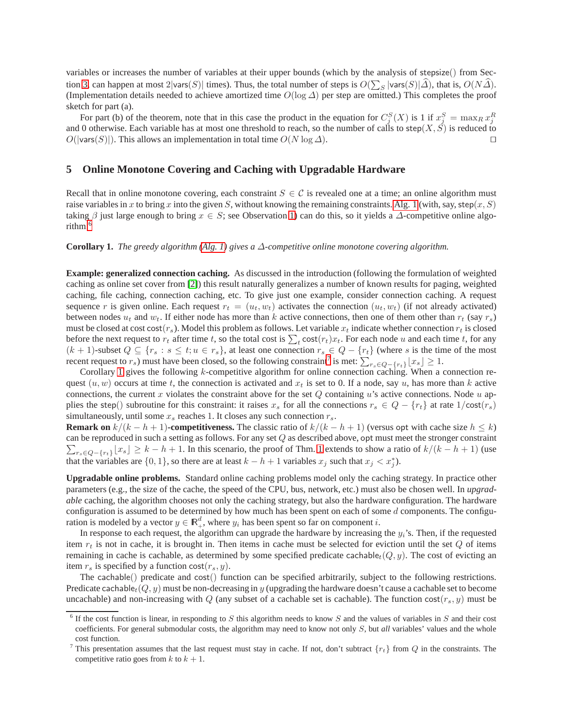variables or increases the number of variables at their upper bounds (which by the analysis of stepsize() from Sec-tion [3,](#page-4-0) can happen at most 2|vars $(S)$ | times). Thus, the total number of steps is  $O(\sum_S |\text{vars}(S)|\hat{\Delta})$ , that is,  $O(N\hat{\Delta})$ . (Implementation details needed to achieve amortized time  $O(\log \Delta)$  per step are omitted.) This completes the proof sketch for part (a).

For part (b) of the theorem, note that in this case the product in the equation for  $C_j^S(X)$  is 1 if  $x_j^S = \max_R x_j^R$ and 0 otherwise. Each variable has at most one threshold to reach, so the number of calls to step( $X, \hat{S}$ ) is reduced to  $O(|\mathsf{vars}(S)|)$ . This allows an implementation in total time  $O(N \log \Delta)$ .

### <span id="page-6-0"></span>**5 Online Monotone Covering and Caching with Upgradable Hardware**

Recall that in online monotone covering, each constraint  $S \in \mathcal{C}$  is revealed one at a time; an online algorithm must raise variables in x to bring x into the given S, without knowing the remaining constraints. [Alg. 1](#page-3-1) (with, say, step $(x, S)$ ) taking  $\beta$  just large enough to bring  $x \in S$ ; see Observation [1\)](#page-3-4) can do this, so it yields a  $\Delta$ -competitive online algorithm.[6](#page-6-1)

<span id="page-6-3"></span>**Corollary 1.** *The greedy algorithm [\(Alg. 1\)](#page-3-1) gives a* ∆*-competitive online monotone covering algorithm.*

**Example: generalized connection caching.** As discussed in the introduction (following the formulation of weighted caching as online set cover from [\[2\]](#page-10-5)) this result naturally generalizes a number of known results for paging, weighted caching, file caching, connection caching, etc. To give just one example, consider connection caching. A request sequence r is given online. Each request  $r_t = (u_t, w_t)$  activates the connection  $(u_t, w_t)$  (if not already activated) between nodes  $u_t$  and  $w_t$ . If either node has more than k active connections, then one of them other than  $r_t$  (say  $r_s$ ) must be closed at cost cost( $r<sub>s</sub>$ ). Model this problem as follows. Let variable  $x<sub>t</sub>$  indicate whether connection  $r<sub>t</sub>$  is closed before the next request to  $r_t$  after time t, so the total cost is  $\sum_t \text{cost}(r_t)x_t$ . For each node u and each time t, for any  $(k + 1)$ -subset  $Q \subseteq \{r_s : s \le t; u \in r_s\}$ , at least one connection  $r_s \in Q - \{r_t\}$  (where s is the time of the most recent request to  $r_s$ ) must have been closed, so the following constraint<sup>[7](#page-6-2)</sup> is met:  $\sum_{r_s \in Q - \{r_t\}} |x_s| \geq 1$ .

Corollary [1](#page-6-3) gives the following k-competitive algorithm for online connection caching. When a connection request  $(u, w)$  occurs at time t, the connection is activated and  $x_t$  is set to 0. If a node, say u, has more than k active connections, the current x violates the constraint above for the set  $Q$  containing u's active connections. Node u applies the step() subroutine for this constraint: it raises  $x_s$  for all the connections  $r_s \in Q - \{r_t\}$  at rate  $1/\text{cost}(r_s)$ simultaneously, until some  $x_s$  reaches 1. It closes any such connection  $r_s$ .

**Remark on**  $k/(k - h + 1)$ **-competitiveness.** The classic ratio of  $k/(k - h + 1)$  (versus opt with cache size  $h \leq k$ ) can be reproduced in such a setting as follows. For any set  $Q$  as described above, opt must meet the stronger constraint  $\sum_{r_s \in Q-\{r_t\}}$   $[x_s] \geq k - h + 1$  $[x_s] \geq k - h + 1$ . In this scenario, the proof of Thm. 1 extends to show a ratio of  $k/(k - h + 1)$  (use that the variables are  $\{0, 1\}$ , so there are at least  $k - h + 1$  variables  $x_j$  such that  $x_j < x_j^*$ ).

**Upgradable online problems.** Standard online caching problems model only the caching strategy. In practice other parameters (e.g., the size of the cache, the speed of the CPU, bus, network, etc.) must also be chosen well. In *upgradable* caching, the algorithm chooses not only the caching strategy, but also the hardware configuration. The hardware configuration is assumed to be determined by how much has been spent on each of some  $d$  components. The configuration is modeled by a vector  $y \in \mathbb{R}^d_+$ , where  $y_i$  has been spent so far on component i.

In response to each request, the algorithm can upgrade the hardware by increasing the  $y_i$ 's. Then, if the requested item  $r_t$  is not in cache, it is brought in. Then items in cache must be selected for eviction until the set  $Q$  of items remaining in cache is cachable, as determined by some specified predicate cachable<sub>t</sub>( $Q, y$ ). The cost of evicting an item  $r_s$  is specified by a function cost $(r_s, y)$ .

The cachable() predicate and cost() function can be specified arbitrarily, subject to the following restrictions. Predicate cachable<sub>t</sub>( $Q, y$ ) must be non-decreasing in y (upgrading the hardware doesn't cause a cachable set to become uncachable) and non-increasing with Q (any subset of a cachable set is cachable). The function cost $(r_s, y)$  must be

<span id="page-6-1"></span> $6$  If the cost function is linear, in responding to S this algorithm needs to know S and the values of variables in S and their cost coefficients. For general submodular costs, the algorithm may need to know not only S, but *all* variables' values and the whole cost function.

<span id="page-6-2"></span><sup>&</sup>lt;sup>7</sup> This presentation assumes that the last request must stay in cache. If not, don't subtract  $\{r_t\}$  from  $Q$  in the constraints. The competitive ratio goes from k to  $k + 1$ .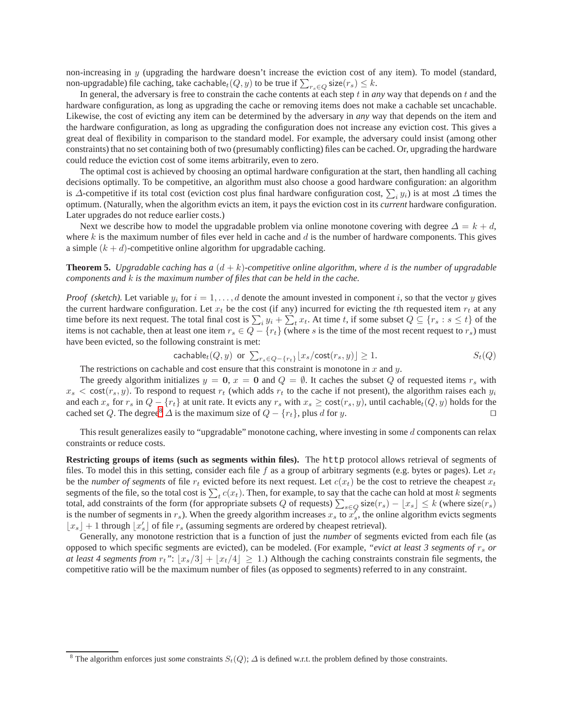non-increasing in  $y$  (upgrading the hardware doesn't increase the eviction cost of any item). To model (standard, non-upgradable) file caching, take cachable $_t(Q, y)$  to be true if  $\sum_{r_s \in Q}$  size $(r_s) \leq k$ .

In general, the adversary is free to constrain the cache contents at each step  $t$  in *any* way that depends on  $t$  and the hardware configuration, as long as upgrading the cache or removing items does not make a cachable set uncachable. Likewise, the cost of evicting any item can be determined by the adversary in *any* way that depends on the item and the hardware configuration, as long as upgrading the configuration does not increase any eviction cost. This gives a great deal of flexibility in comparison to the standard model. For example, the adversary could insist (among other constraints) that no set containing both of two (presumably conflicting) files can be cached. Or, upgrading the hardware could reduce the eviction cost of some items arbitrarily, even to zero.

The optimal cost is achieved by choosing an optimal hardware configuration at the start, then handling all caching decisions optimally. To be competitive, an algorithm must also choose a good hardware configuration: an algorithm is ∆-competitive if its total cost (eviction cost plus final hardware configuration cost,  $\sum_i y_i$ ) is at most  $\Delta$  times the optimum. (Naturally, when the algorithm evicts an item, it pays the eviction cost in its *current* hardware configuration. Later upgrades do not reduce earlier costs.)

Next we describe how to model the upgradable problem via online monotone covering with degree  $\Delta = k + d$ , where  $k$  is the maximum number of files ever held in cache and  $d$  is the number of hardware components. This gives a simple  $(k + d)$ -competitive online algorithm for upgradable caching.

**Theorem 5.** *Upgradable caching has a*  $(d + k)$ *-competitive online algorithm, where d is the number of upgradable components and* k *is the maximum number of files that can be held in the cache.*

*Proof (sketch).* Let variable  $y_i$  for  $i = 1, \ldots, d$  denote the amount invested in component i, so that the vector y gives the current hardware configuration. Let  $x_t$  be the cost (if any) incurred for evicting the tth requested item  $r_t$  at any time before its next request. The total final cost is  $\sum_i y_i + \sum_t^t x_t$ . At time t, if some subset  $Q \subseteq \{r_s : s \le t\}$  of the items is not cachable, then at least one item  $r_s \in Q - \{r_t\}$  (where s is the time of the most recent request to  $r_s$ ) must have been evicted, so the following constraint is met:

$$
\text{cachable}_{t}(Q, y) \text{ or } \sum_{r_s \in Q - \{r_t\}} \lfloor x_s / \text{cost}(r_s, y) \rfloor \ge 1. \qquad S_t(Q)
$$

The restrictions on cachable and cost ensure that this constraint is monotone in  $x$  and  $y$ .

The greedy algorithm initializes  $y = 0$ ,  $x = 0$  and  $Q = \emptyset$ . It caches the subset Q of requested items  $r_s$  with  $x_s < \text{cost}(r_s, y)$ . To respond to request  $r_t$  (which adds  $r_t$  to the cache if not present), the algorithm raises each  $y_i$ and each  $x_s$  for  $r_s$  in  $Q - \{r_t\}$  at unit rate. It evicts any  $r_s$  with  $x_s \ge \text{cost}(r_s, y)$ , until cachable $_t(Q, y)$  holds for the cached set Q. The degree<sup>[8](#page-7-0)</sup>  $\Delta$  is the maximum size of  $Q - \{r_t\}$ , plus d for y.

This result generalizes easily to "upgradable" monotone caching, where investing in some  $d$  components can relax constraints or reduce costs.

**Restricting groups of items (such as segments within files).** The http protocol allows retrieval of segments of files. To model this in this setting, consider each file f as a group of arbitrary segments (e.g. bytes or pages). Let  $x_t$ be the *number of segments* of file  $r_t$  evicted before its next request. Let  $c(x_t)$  be the cost to retrieve the cheapest  $x_t$ segments of the file, so the total cost is  $\sum_{t} c(x_t)$ . Then, for example, to say that the cache can hold at most k segments total, add constraints of the form (for appropriate subsets Q of requests)  $\sum_{s \in Q}$  size( $r_s$ ) –  $\lfloor x_s \rfloor \leq k$  (where size( $r_s$ ) is the number of segments in  $r_s$ ). When the greedy algorithm increases  $x_s$  to  $x'_s$ , the online algorithm evicts segments  $\lfloor x_s \rfloor + 1$  through  $\lfloor x'_s \rfloor$  of file  $r_s$  (assuming segments are ordered by cheapest retrieval).

Generally, any monotone restriction that is a function of just the *number* of segments evicted from each file (as opposed to which specific segments are evicted), can be modeled. (For example, *"evict at least 3 segments of* r<sup>s</sup> *or at least 4 segments from*  $r_t$ ":  $|x_s/3| + |x_t/4| \ge 1$ .) Although the caching constraints constrain file segments, the competitive ratio will be the maximum number of files (as opposed to segments) referred to in any constraint.

<span id="page-7-0"></span><sup>&</sup>lt;sup>8</sup> The algorithm enforces just *some* constraints  $S_t(Q)$ ;  $\Delta$  is defined w.r.t. the problem defined by those constraints.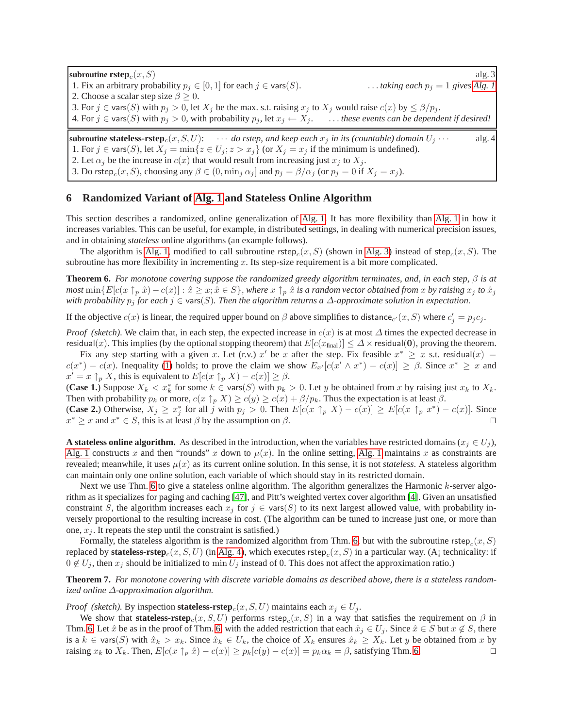<span id="page-8-1"></span>**subroutine**  $\text{rstep}_c(x, S)$  alg. 3<br>1. Fix an arbitrary probability  $p_j \in [0, 1]$  for each  $j \in \text{vars}(S)$ .<br>1. Fix an arbitrary probability  $p_j \in [0, 1]$  for each  $j \in \text{vars}(S)$ . 1. Fix an arbitrary probability  $p_j \in [0, 1]$  for each  $j \in \text{vars}(S)$ .

2. Choose a scalar step size  $\beta \geq 0$ .

<span id="page-8-3"></span>3. For  $j \in \text{vars}(S)$  with  $p_j > 0$ , let  $X_j$  be the max. s.t. raising  $x_j$  to  $X_j$  would raise  $c(x)$  by  $\leq \beta/p_j$ .

4. For  $j \in \text{vars}(S)$  with  $p_j > 0$ , with probability  $p_j$ , let  $x_j \leftarrow X_j$ . ... *these events can be dependent if desired!* 

**subroutine stateless-rstep**<sub>c</sub> $(x, S, U)$ :  $\cdots$  *do rstep, and keep each*  $x_j$  *in its (countable) domain*  $U_j \cdots$  alg. 4 1. For  $j \in \text{vars}(S)$ , let  $X_j = \min\{z \in U_j; z > x_j\}$  (or  $X_j = x_j$  if the minimum is undefined). 2. Let  $\alpha_j$  be the increase in  $c(x)$  that would result from increasing just  $x_j$  to  $X_j$ . 3. Do rstep $_c(x, S)$ , choosing any  $\beta \in (0, \min_j \alpha_j]$  and  $p_j = \beta/\alpha_j$  (or  $p_j = 0$  if  $X_j = x_j$ ).

# <span id="page-8-0"></span>**6 Randomized Variant of [Alg. 1](#page-3-1) and Stateless Online Algorithm**

This section describes a randomized, online generalization of [Alg. 1.](#page-3-1) It has more flexibility than [Alg. 1](#page-3-1) in how it increases variables. This can be useful, for example, in distributed settings, in dealing with numerical precision issues, and in obtaining *stateless* online algorithms (an example follows).

<span id="page-8-2"></span>The algorithm is [Alg. 1,](#page-3-1) modified to call subroutine  $\text{rstep}_c(x, S)$  (shown in [Alg. 3\)](#page-8-1) instead of  $\text{step}_c(x, S)$ . The subroutine has more flexibility in incrementing  $x$ . Its step-size requirement is a bit more complicated.

**Theorem 6.** *For monotone covering suppose the randomized greedy algorithm terminates, and, in each step,* β *is at most*  $\min\{E[c(x \uparrow_p \hat{x}) - c(x)] : \hat{x} \geq x; \hat{x} \in S\}$ , *where*  $x \uparrow_p \hat{x}$  *is a random vector obtained from*  $x$  *by raising*  $x_j$  *to*  $\hat{x}_j$ *with probability* p<sup>j</sup> *for each* j ∈ vars(S)*. Then the algorithm returns a* ∆*-approximate solution in expectation.*

If the objective  $c(x)$  is linear, the required upper bound on  $\beta$  above simplifies to distance $_{c'}(x, S)$  where  $c'_j = p_j c_j$ .

*Proof (sketch).* We claim that, in each step, the expected increase in  $c(x)$  is at most  $\Delta$  times the expected decrease in residual(x). This implies (by the optional stopping theorem) that  $E[c(x<sub>final</sub>)] \leq \Delta \times$  residual(0), proving the theorem.

Fix any step starting with a given x. Let (r.v.) x' be x after the step. Fix feasible  $x^* \geq x$  s.t. residual(x) =  $c(x^*) - c(x)$ . Inequality [\(1\)](#page-3-3) holds; to prove the claim we show  $E_{x'}[c(x' \wedge x^*) - c(x)] \ge \beta$ . Since  $x^* \ge x$  and  $x' = x \uparrow_p X$ , this is equivalent to  $E[c(x \uparrow_p X) - c(x)] \ge \beta$ .

(**Case 1.**) Suppose  $X_k < x_k^*$  for some  $k \in \text{vars}(S)$  with  $p_k > 0$ . Let y be obtained from x by raising just  $x_k$  to  $X_k$ . Then with probability  $p_k$  or more,  $c(x \uparrow_p X) \ge c(y) \ge c(x) + \beta/p_k$ . Thus the expectation is at least  $\beta$ .

(**Case 2.**) Otherwise,  $X_j \ge x_j^*$  for all j with  $p_j > 0$ . Then  $E[c(x \uparrow_p X) - c(x)] \ge E[c(x \uparrow_p x^*) - c(x)]$ . Since  $x^* \geq x$  and  $x^* \in S$ , this is at least  $\beta$  by the assumption on  $\beta$ .

**A stateless online algorithm.** As described in the introduction, when the variables have restricted domains  $(x_i \in U_i)$ , [Alg. 1](#page-3-1) constructs x and then "rounds" x down to  $\mu(x)$ . In the online setting, [Alg. 1](#page-3-1) maintains x as constraints are revealed; meanwhile, it uses  $\mu(x)$  as its current online solution. In this sense, it is not *stateless*. A stateless algorithm can maintain only one online solution, each variable of which should stay in its restricted domain.

Next we use Thm. [6](#page-8-2) to give a stateless online algorithm. The algorithm generalizes the Harmonic k-server algorithm as it specializes for paging and caching [\[47\]](#page-11-13), and Pitt's weighted vertex cover algorithm [\[4\]](#page-10-13). Given an unsatisfied constraint S, the algorithm increases each  $x_j$  for  $j \in \text{vars}(S)$  to its next largest allowed value, with probability inversely proportional to the resulting increase in cost. (The algorithm can be tuned to increase just one, or more than one,  $x_i$ . It repeats the step until the constraint is satisfied.)

Formally, the stateless algorithm is the randomized algorithm from Thm. [6,](#page-8-2) but with the subroutine  $\text{rstep}_c(x, S)$ replaced by stateless-rstep $_c(x, S, U)$  (in [Alg. 4\)](#page-8-3), which executes rstep $_c(x, S)$  in a particular way. (A<sub>i</sub> technicality: if  $0 \notin U_i$ , then  $x_i$  should be initialized to min  $U_i$  instead of 0. This does not affect the approximation ratio.)

**Theorem 7.** *For monotone covering with discrete variable domains as described above, there is a stateless randomized online* ∆*-approximation algorithm.*

*Proof (sketch).* By inspection **stateless-rstep**<sub>c</sub> $(x, S, U)$  maintains each  $x_i \in U_i$ .

We show that **stateless-rstep** $_c(x, S, U)$  performs rstep $_c(x, S)$  in a way that satisfies the requirement on  $\beta$  in Thm. [6.](#page-8-2) Let  $\hat{x}$  be as in the proof of Thm. [6,](#page-8-2) with the added restriction that each  $\hat{x}_j \in U_j$ . Since  $\hat{x} \in S$  but  $x \notin S$ , there is a  $k \in \text{vars}(S)$  with  $\hat{x}_k > x_k$ . Since  $\hat{x}_k \in U_k$ , the choice of  $X_k$  ensures  $\hat{x}_k \geq X_k$ . Let y be obtained from x by raising  $x_k$  to  $X_k$ . Then,  $E[c(x \uparrow p \hat{x}) - c(x)] \geq p_k[c(y) - c(x)] = p_k \alpha_k = \beta$ , satisfying Thm. [6.](#page-8-2)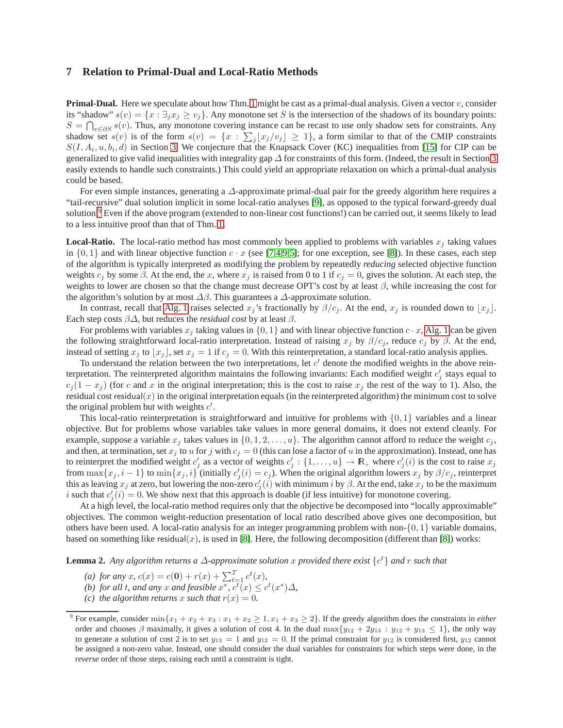### <span id="page-9-0"></span>**7 Relation to Primal-Dual and Local-Ratio Methods**

**Primal-Dual.** Here we speculate about how Thm. [1](#page-3-2) might be cast as a primal-dual analysis. Given a vector v, consider its "shadow"  $s(v) = \{x : \exists_i x_i \ge v_i\}$ . Any monotone set S is the intersection of the shadows of its boundary points:  $S = \bigcap_{v \in \partial S} s(v)$ . Thus, any monotone covering instance can be recast to use only shadow sets for constraints. Any shadow set  $s(v)$  is of the form  $s(v) = \{x : \sum_j [x_j/v_j] \ge 1\}$ , a form similar to that of the CMIP constraints  $S(I, A_i, u, b_i, d)$  in Section [3.](#page-4-0) We conjecture that the Knapsack Cover (KC) inequalities from [\[15\]](#page-10-4) for CIP can be generalized to give valid inequalities with integrality gap  $\Delta$  for constraints of this form. (Indeed, the result in Section [3](#page-4-0) easily extends to handle such constraints.) This could yield an appropriate relaxation on which a primal-dual analysis could be based.

For even simple instances, generating a ∆-approximate primal-dual pair for the greedy algorithm here requires a "tail-recursive" dual solution implicit in some local-ratio analyses [\[9\]](#page-10-16), as opposed to the typical forward-greedy dual solution.<sup>[9](#page-9-1)</sup> Even if the above program (extended to non-linear cost functions!) can be carried out, it seems likely to lead to a less intuitive proof than that of Thm. [1.](#page-3-2)

**Local-Ratio.** The local-ratio method has most commonly been applied to problems with variables  $x_i$  taking values in  $\{0, 1\}$  and with linear objective function  $c \cdot x$  (see [\[7,](#page-10-7)[4,](#page-10-13)[9,](#page-10-16)[5\]](#page-10-0); for one exception, see [\[8\]](#page-10-17)). In these cases, each step of the algorithm is typically interpreted as modifying the problem by repeatedly *reducing* selected objective function weights  $c_j$  by some  $\beta$ . At the end, the x, where  $x_j$  is raised from 0 to 1 if  $c_j = 0$ , gives the solution. At each step, the weights to lower are chosen so that the change must decrease OPT's cost by at least  $\beta$ , while increasing the cost for the algorithm's solution by at most  $\Delta\beta$ . This guarantees a  $\Delta$ -approximate solution.

In contrast, recall that [Alg. 1](#page-3-1) raises selected  $x_j$ 's fractionally by  $\beta/c_j$ . At the end,  $x_j$  is rounded down to  $\lfloor x_j \rfloor$ . Each step costs  $\beta\Delta$ , but reduces the *residual cost* by at least  $\beta$ .

For problems with variables  $x_j$  taking values in  $\{0, 1\}$  and with linear objective function  $c \cdot x$ , [Alg. 1](#page-3-1) can be given the following straightforward local-ratio interpretation. Instead of raising  $x_j$  by  $\beta/c_j$ , reduce  $c_j$  by  $\beta$ . At the end, instead of setting  $x_j$  to  $\lfloor x_j \rfloor$ , set  $x_j = 1$  if  $c_j = 0$ . With this reinterpretation, a standard local-ratio analysis applies.

To understand the relation between the two interpretations, let  $c'$  denote the modified weights in the above reinterpretation. The reinterpreted algorithm maintains the following invariants: Each modified weight  $c'_j$  stays equal to  $c_j(1 - x_j)$  (for c and x in the original interpretation; this is the cost to raise  $x_j$  the rest of the way to 1). Also, the residual cost residual $(x)$  in the original interpretation equals (in the reinterpreted algorithm) the minimum cost to solve the original problem but with weights  $c'$ .

This local-ratio reinterpretation is straightforward and intuitive for problems with  $\{0, 1\}$  variables and a linear objective. But for problems whose variables take values in more general domains, it does not extend cleanly. For example, suppose a variable  $x_j$  takes values in  $\{0, 1, 2, \ldots, u\}$ . The algorithm cannot afford to reduce the weight  $c_j$ , and then, at termination, set  $x_j$  to u for j with  $c_j = 0$  (this can lose a factor of u in the approximation). Instead, one has to reinterpret the modified weight  $c'_j$  as a vector of weights  $c'_j: \{1, \ldots, u\} \to \mathbb{R}_+$  where  $c'_j(i)$  is the cost to raise  $x_j$ from  $\max\{x_j, i-1\}$  to  $\min\{x_j, i\}$  (initially  $c'_j(i) = c_j$ ). When the original algorithm lowers  $x_j$  by  $\beta/c_j$ , reinterpret this as leaving  $x_j$  at zero, but lowering the non-zero  $c'_j(i)$  with minimum i by  $\beta$ . At the end, take  $x_j$  to be the maximum i such that  $c'_j(i) = 0$ . We show next that this approach is doable (if less intuitive) for monotone covering.

At a high level, the local-ratio method requires only that the objective be decomposed into "locally approximable" objectives. The common weight-reduction presentation of local ratio described above gives one decomposition, but others have been used. A local-ratio analysis for an integer programming problem with non- $\{0, 1\}$  variable domains, based on something like residual(x), is used in [\[8\]](#page-10-17). Here, the following decomposition (different than [\[8\]](#page-10-17)) works:

**Lemma 2.** *Any algorithm returns a* ∆*-approximate solution* x *provided there exist* {c <sup>t</sup>} *and* r *such that*

<span id="page-9-2"></span>(a) for any x,  $c(x) = c(0) + r(x) + \sum_{t=1}^{T} c^t(x)$ ,

(b) for all 
$$
t
$$
, and any  $x$  and feasible  $x^*$ ,  $c^t(x) \leq c^t(x^*)\Delta$ ,

*(c)* the algorithm returns x such that  $r(x) = 0$ .

<span id="page-9-1"></span><sup>&</sup>lt;sup>9</sup> For example, consider  $\min\{x_1+x_2+x_3:x_1+x_2\geq 1, x_1+x_3\geq 2\}$ . If the greedy algorithm does the constraints in *either* order and chooses  $\beta$  maximally, it gives a solution of cost 4. In the dual max $\{y_{12} + 2y_{13} : y_{12} + y_{13} \le 1\}$ , the only way to generate a solution of cost 2 is to set  $y_{13} = 1$  and  $y_{12} = 0$ . If the primal constraint for  $y_{12}$  is considered first,  $y_{12}$  cannot be assigned a non-zero value. Instead, one should consider the dual variables for constraints for which steps were done, in the *reverse* order of those steps, raising each until a constraint is tight.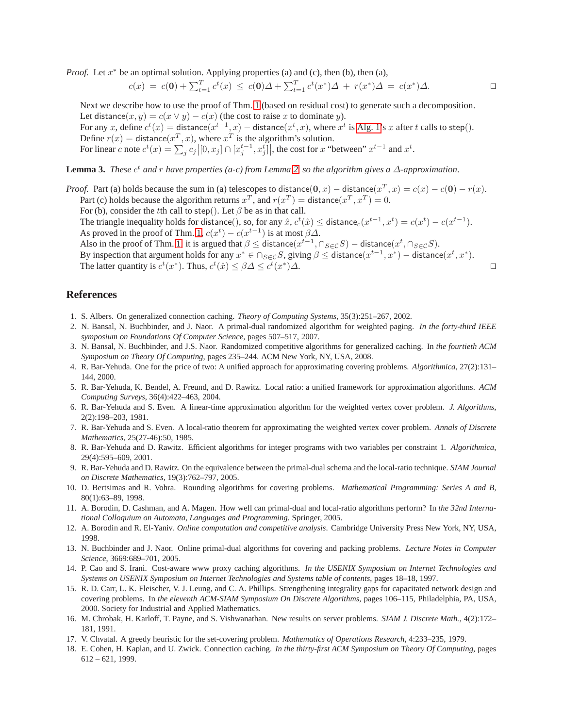*Proof.* Let  $x^*$  be an optimal solution. Applying properties (a) and (c), then (b), then (a),

$$
c(x) = c(0) + \sum_{t=1}^{T} c^t(x) \leq c(0)\Delta + \sum_{t=1}^{T} c^t(x^*)\Delta + r(x^*)\Delta = c(x^*)\Delta.
$$

Next we describe how to use the proof of Thm. [1](#page-3-2) (based on residual cost) to generate such a decomposition. Let distance $(x, y) = c(x \vee y) - c(x)$  (the cost to raise x to dominate y). For any x, define  $c^t(x) =$  distance $(x^{t-1}, x)$  – distance $(x^t, x)$ , where  $x^t$  is [Alg. 1'](#page-3-1)s x after t calls to step(). Define  $r(x) =$  distance $(x^T, x)$ , where  $x^T$  is the algorithm's solution. For linear c note  $c^t(x) = \sum_j c_j \left|[0, x_j] \cap [x_j^{t-1}, x_j^t]\right]$ , the cost for x "between"  $x^{t-1}$  and  $x^t$ .

**Lemma 3.** *These*  $c^t$  *and*  $r$  *have properties* (*a-c*) from Lemma [2,](#page-9-2) so the algorithm gives a  $\Delta$ -approximation.

*Proof.* Part (a) holds because the sum in (a) telescopes to distance(0, x) – distance( $x^T$ , x) =  $c(x) - c(0) - r(x)$ . Part (c) holds because the algorithm returns  $x^T$ , and  $r(x^T) =$  distance $(x^T, x^T) = 0$ .

For (b), consider the tth call to step(). Let  $\beta$  be as in that call.

The triangle inequality holds for distance(), so, for any  $\hat{x}$ ,  $c^t(\hat{x}) \leq$  distance $_c(x^{t-1}, x^t) = c(x^t) - c(x^{t-1})$ . As proved in the proof of Thm. [1,](#page-3-2)  $c(x^t) - c(x^{t-1})$  is at most  $\beta \Delta$ .

Also in the proof of Thm. [1,](#page-3-2) it is argued that  $\beta \leq$  distance $(x^{t-1}, \cap_{S \in \mathcal{C}} S)$  – distance $(x^t, \cap_{S \in \mathcal{C}} S)$ .

By inspection that argument holds for any  $x^* \in \bigcap_{S \in \mathcal{C}} S$ , giving  $\beta \leq$  distance $(x^{t-1}, x^*)$  – distance $(x^t, x^*)$ . The latter quantity is  $c^t(x^*)$ . Thus,  $c^t(\hat{x}) \leq \beta \Delta \leq c^t(x^*)$ ) $\Delta$ .  $□$ 

# <span id="page-10-9"></span>**References**

- <span id="page-10-5"></span>1. S. Albers. On generalized connection caching. *Theory of Computing Systems*, 35(3):251–267, 2002.
- 2. N. Bansal, N. Buchbinder, and J. Naor. A primal-dual randomized algorithm for weighted paging. *In the forty-third IEEE symposium on Foundations Of Computer Science*, pages 507–517, 2007.
- <span id="page-10-15"></span>3. N. Bansal, N. Buchbinder, and J.S. Naor. Randomized competitive algorithms for generalized caching. In *the fourtieth ACM Symposium on Theory Of Computing*, pages 235–244. ACM New York, NY, USA, 2008.
- <span id="page-10-13"></span>4. R. Bar-Yehuda. One for the price of two: A unified approach for approximating covering problems. *Algorithmica*, 27(2):131– 144, 2000.
- <span id="page-10-0"></span>5. R. Bar-Yehuda, K. Bendel, A. Freund, and D. Rawitz. Local ratio: a unified framework for approximation algorithms. *ACM Computing Surveys*, 36(4):422–463, 2004.
- <span id="page-10-2"></span>6. R. Bar-Yehuda and S. Even. A linear-time approximation algorithm for the weighted vertex cover problem. *J. Algorithms*, 2(2):198–203, 1981.
- <span id="page-10-7"></span>7. R. Bar-Yehuda and S. Even. A local-ratio theorem for approximating the weighted vertex cover problem. *Annals of Discrete Mathematics*, 25(27-46):50, 1985.
- <span id="page-10-17"></span>8. R. Bar-Yehuda and D. Rawitz. Efficient algorithms for integer programs with two variables per constraint 1. *Algorithmica*, 29(4):595–609, 2001.
- <span id="page-10-16"></span>9. R. Bar-Yehuda and D. Rawitz. On the equivalence between the primal-dual schema and the local-ratio technique. *SIAM Journal on Discrete Mathematics*, 19(3):762–797, 2005.
- <span id="page-10-3"></span>10. D. Bertsimas and R. Vohra. Rounding algorithms for covering problems. *Mathematical Programming: Series A and B*, 80(1):63–89, 1998.
- <span id="page-10-1"></span>11. A. Borodin, D. Cashman, and A. Magen. How well can primal-dual and local-ratio algorithms perform? In *the 32nd International Colloquium on Automata, Languages and Programming*. Springer, 2005.
- <span id="page-10-6"></span>12. A. Borodin and R. El-Yaniv. *Online computation and competitive analysis*. Cambridge University Press New York, NY, USA, 1998.
- <span id="page-10-11"></span>13. N. Buchbinder and J. Naor. Online primal-dual algorithms for covering and packing problems. *Lecture Notes in Computer Science*, 3669:689–701, 2005.
- <span id="page-10-10"></span>14. P. Cao and S. Irani. Cost-aware www proxy caching algorithms. *In the USENIX Symposium on Internet Technologies and Systems on USENIX Symposium on Internet Technologies and Systems table of contents*, pages 18–18, 1997.
- <span id="page-10-4"></span>15. R. D. Carr, L. K. Fleischer, V. J. Leung, and C. A. Phillips. Strengthening integrality gaps for capacitated network design and covering problems. In *the eleventh ACM-SIAM Symposium On Discrete Algorithms*, pages 106–115, Philadelphia, PA, USA, 2000. Society for Industrial and Applied Mathematics.
- <span id="page-10-12"></span>16. M. Chrobak, H. Karloff, T. Payne, and S. Vishwanathan. New results on server problems. *SIAM J. Discrete Math.*, 4(2):172– 181, 1991.
- <span id="page-10-14"></span><span id="page-10-8"></span>17. V. Chvatal. A greedy heuristic for the set-covering problem. *Mathematics of Operations Research*, 4:233–235, 1979.
- 18. E. Cohen, H. Kaplan, and U. Zwick. Connection caching. *In the thirty-first ACM Symposium on Theory Of Computing*, pages 612 – 621, 1999.